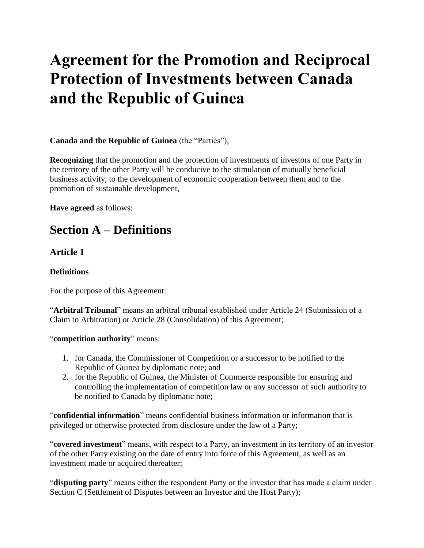# **Agreement for the Promotion and Reciprocal Protection of Investments between Canada and the Republic of Guinea**

#### **Canada and the Republic of Guinea** (the "Parties"),

**Recognizing** that the promotion and the protection of investments of investors of one Party in the territory of the other Party will be conducive to the stimulation of mutually beneficial business activity, to the development of economic cooperation between them and to the promotion of sustainable development,

**Have agreed** as follows:

## **Section A – Definitions**

### **Article 1**

#### **Definitions**

For the purpose of this Agreement:

"**Arbitral Tribunal**" means an arbitral tribunal established under Article 24 (Submission of a Claim to Arbitration) or Article 28 (Consolidation) of this Agreement;

#### "**competition authority**" means:

- 1. for Canada, the Commissioner of Competition or a successor to be notified to the Republic of Guinea by diplomatic note; and
- 2. for the Republic of Guinea, the Minister of Commerce responsible for ensuring and controlling the implementation of competition law or any successor of such authority to be notified to Canada by diplomatic note;

"**confidential information**" means confidential business information or information that is privileged or otherwise protected from disclosure under the law of a Party;

"**covered investment**" means, with respect to a Party, an investment in its territory of an investor of the other Party existing on the date of entry into force of this Agreement, as well as an investment made or acquired thereafter;

"**disputing party**" means either the respondent Party or the investor that has made a claim under Section C (Settlement of Disputes between an Investor and the Host Party);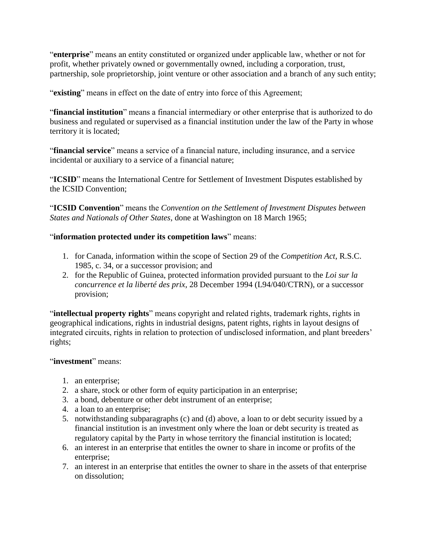"**enterprise**" means an entity constituted or organized under applicable law, whether or not for profit, whether privately owned or governmentally owned, including a corporation, trust, partnership, sole proprietorship, joint venture or other association and a branch of any such entity;

"**existing**" means in effect on the date of entry into force of this Agreement;

"**financial institution**" means a financial intermediary or other enterprise that is authorized to do business and regulated or supervised as a financial institution under the law of the Party in whose territory it is located;

"**financial service**" means a service of a financial nature, including insurance, and a service incidental or auxiliary to a service of a financial nature;

"**ICSID**" means the International Centre for Settlement of Investment Disputes established by the ICSID Convention;

"**ICSID Convention**" means the *Convention on the Settlement of Investment Disputes between States and Nationals of Other States*, done at Washington on 18 March 1965;

#### "**information protected under its competition laws**" means:

- 1. for Canada, information within the scope of Section 29 of the *Competition Act*, R.S.C. 1985, c. 34, or a successor provision; and
- 2. for the Republic of Guinea, protected information provided pursuant to the *Loi sur la concurrence et la liberté des prix*, 28 December 1994 (L94/040/CTRN), or a successor provision;

"**intellectual property rights**" means copyright and related rights, trademark rights, rights in geographical indications, rights in industrial designs, patent rights, rights in layout designs of integrated circuits, rights in relation to protection of undisclosed information, and plant breeders' rights;

#### "**investment**" means:

- 1. an enterprise;
- 2. a share, stock or other form of equity participation in an enterprise;
- 3. a bond, debenture or other debt instrument of an enterprise;
- 4. a loan to an enterprise;
- 5. notwithstanding subparagraphs (c) and (d) above, a loan to or debt security issued by a financial institution is an investment only where the loan or debt security is treated as regulatory capital by the Party in whose territory the financial institution is located;
- 6. an interest in an enterprise that entitles the owner to share in income or profits of the enterprise;
- 7. an interest in an enterprise that entitles the owner to share in the assets of that enterprise on dissolution;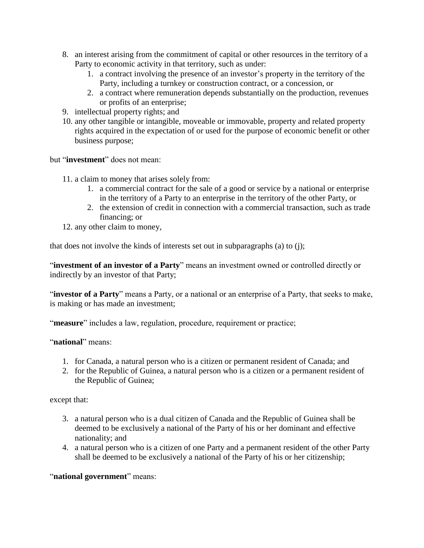- 8. an interest arising from the commitment of capital or other resources in the territory of a Party to economic activity in that territory, such as under:
	- 1. a contract involving the presence of an investor's property in the territory of the Party, including a turnkey or construction contract, or a concession, or
	- 2. a contract where remuneration depends substantially on the production, revenues or profits of an enterprise;
- 9. intellectual property rights; and
- 10. any other tangible or intangible, moveable or immovable, property and related property rights acquired in the expectation of or used for the purpose of economic benefit or other business purpose;

but "**investment**" does not mean:

- 11. a claim to money that arises solely from:
	- 1. a commercial contract for the sale of a good or service by a national or enterprise in the territory of a Party to an enterprise in the territory of the other Party, or
	- 2. the extension of credit in connection with a commercial transaction, such as trade financing; or
- 12. any other claim to money,

that does not involve the kinds of interests set out in subparagraphs (a) to (j);

"**investment of an investor of a Party**" means an investment owned or controlled directly or indirectly by an investor of that Party;

"**investor of a Party**" means a Party, or a national or an enterprise of a Party, that seeks to make, is making or has made an investment;

"**measure**" includes a law, regulation, procedure, requirement or practice;

"**national**" means:

- 1. for Canada, a natural person who is a citizen or permanent resident of Canada; and
- 2. for the Republic of Guinea, a natural person who is a citizen or a permanent resident of the Republic of Guinea;

except that:

- 3. a natural person who is a dual citizen of Canada and the Republic of Guinea shall be deemed to be exclusively a national of the Party of his or her dominant and effective nationality; and
- 4. a natural person who is a citizen of one Party and a permanent resident of the other Party shall be deemed to be exclusively a national of the Party of his or her citizenship;

"**national government**" means: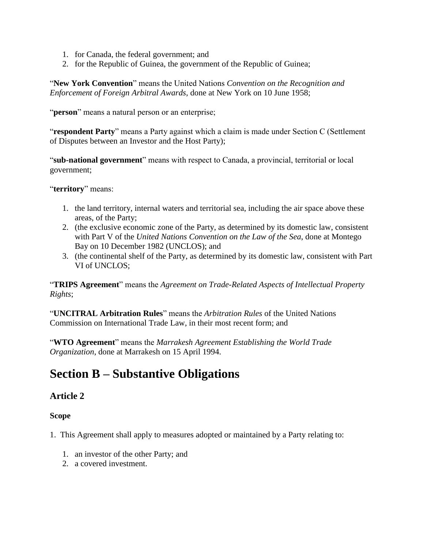- 1. for Canada, the federal government; and
- 2. for the Republic of Guinea, the government of the Republic of Guinea;

"**New York Convention**" means the United Nations *Convention on the Recognition and Enforcement of Foreign Arbitral Awards*, done at New York on 10 June 1958;

"**person**" means a natural person or an enterprise;

"**respondent Party**" means a Party against which a claim is made under Section C (Settlement of Disputes between an Investor and the Host Party);

"**sub-national government**" means with respect to Canada, a provincial, territorial or local government;

"**territory**" means:

- 1. the land territory, internal waters and territorial sea, including the air space above these areas, of the Party;
- 2. (the exclusive economic zone of the Party, as determined by its domestic law, consistent with Part V of the *United Nations Convention on the Law of the Sea*, done at Montego Bay on 10 December 1982 (UNCLOS); and
- 3. (the continental shelf of the Party, as determined by its domestic law, consistent with Part VI of UNCLOS;

"**TRIPS Agreement**" means the *Agreement on Trade-Related Aspects of Intellectual Property Rights*;

"**UNCITRAL Arbitration Rules**" means the *Arbitration Rules* of the United Nations Commission on International Trade Law, in their most recent form; and

"**WTO Agreement**" means the *Marrakesh Agreement Establishing the World Trade Organization*, done at Marrakesh on 15 April 1994.

## **Section B – Substantive Obligations**

#### **Article 2**

#### **Scope**

1. This Agreement shall apply to measures adopted or maintained by a Party relating to:

- 1. an investor of the other Party; and
- 2. a covered investment.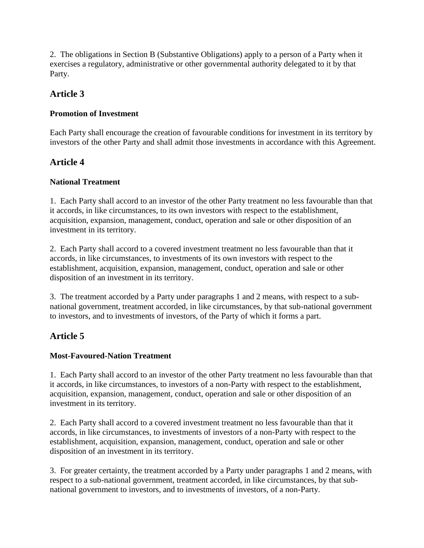2. The obligations in Section B (Substantive Obligations) apply to a person of a Party when it exercises a regulatory, administrative or other governmental authority delegated to it by that Party.

## **Article 3**

#### **Promotion of Investment**

Each Party shall encourage the creation of favourable conditions for investment in its territory by investors of the other Party and shall admit those investments in accordance with this Agreement.

### **Article 4**

#### **National Treatment**

1. Each Party shall accord to an investor of the other Party treatment no less favourable than that it accords, in like circumstances, to its own investors with respect to the establishment, acquisition, expansion, management, conduct, operation and sale or other disposition of an investment in its territory.

2. Each Party shall accord to a covered investment treatment no less favourable than that it accords, in like circumstances, to investments of its own investors with respect to the establishment, acquisition, expansion, management, conduct, operation and sale or other disposition of an investment in its territory.

3. The treatment accorded by a Party under paragraphs 1 and 2 means, with respect to a subnational government, treatment accorded, in like circumstances, by that sub-national government to investors, and to investments of investors, of the Party of which it forms a part.

## **Article 5**

#### **Most-Favoured-Nation Treatment**

1. Each Party shall accord to an investor of the other Party treatment no less favourable than that it accords, in like circumstances, to investors of a non-Party with respect to the establishment, acquisition, expansion, management, conduct, operation and sale or other disposition of an investment in its territory.

2. Each Party shall accord to a covered investment treatment no less favourable than that it accords, in like circumstances, to investments of investors of a non-Party with respect to the establishment, acquisition, expansion, management, conduct, operation and sale or other disposition of an investment in its territory.

3. For greater certainty, the treatment accorded by a Party under paragraphs 1 and 2 means, with respect to a sub-national government, treatment accorded, in like circumstances, by that subnational government to investors, and to investments of investors, of a non-Party.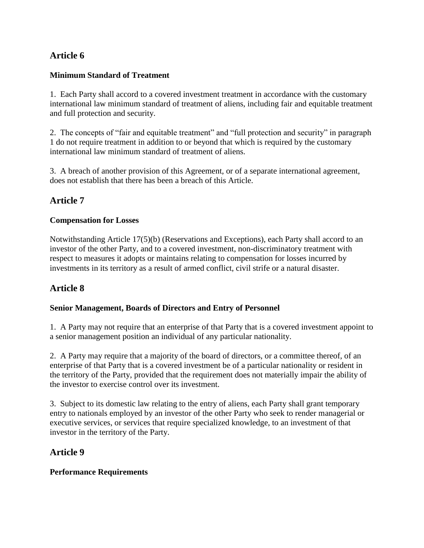## **Article 6**

#### **Minimum Standard of Treatment**

1. Each Party shall accord to a covered investment treatment in accordance with the customary international law minimum standard of treatment of aliens, including fair and equitable treatment and full protection and security.

2. The concepts of "fair and equitable treatment" and "full protection and security" in paragraph 1 do not require treatment in addition to or beyond that which is required by the customary international law minimum standard of treatment of aliens.

3. A breach of another provision of this Agreement, or of a separate international agreement, does not establish that there has been a breach of this Article.

## **Article 7**

#### **Compensation for Losses**

Notwithstanding Article 17(5)(b) (Reservations and Exceptions), each Party shall accord to an investor of the other Party, and to a covered investment, non-discriminatory treatment with respect to measures it adopts or maintains relating to compensation for losses incurred by investments in its territory as a result of armed conflict, civil strife or a natural disaster.

## **Article 8**

#### **Senior Management, Boards of Directors and Entry of Personnel**

1. A Party may not require that an enterprise of that Party that is a covered investment appoint to a senior management position an individual of any particular nationality.

2. A Party may require that a majority of the board of directors, or a committee thereof, of an enterprise of that Party that is a covered investment be of a particular nationality or resident in the territory of the Party, provided that the requirement does not materially impair the ability of the investor to exercise control over its investment.

3. Subject to its domestic law relating to the entry of aliens, each Party shall grant temporary entry to nationals employed by an investor of the other Party who seek to render managerial or executive services, or services that require specialized knowledge, to an investment of that investor in the territory of the Party.

#### **Article 9**

#### **Performance Requirements**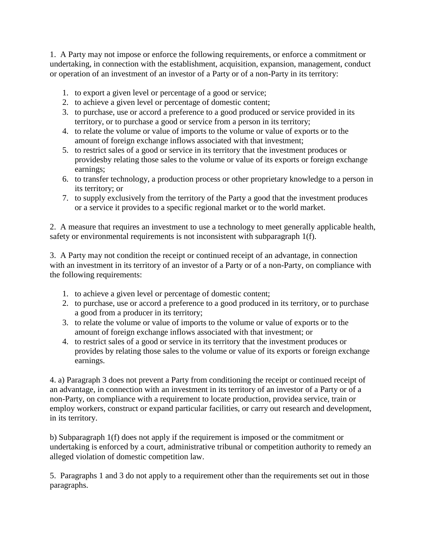1. A Party may not impose or enforce the following requirements, or enforce a commitment or undertaking, in connection with the establishment, acquisition, expansion, management, conduct or operation of an investment of an investor of a Party or of a non-Party in its territory:

- 1. to export a given level or percentage of a good or service;
- 2. to achieve a given level or percentage of domestic content;
- 3. to purchase, use or accord a preference to a good produced or service provided in its territory, or to purchase a good or service from a person in its territory;
- 4. to relate the volume or value of imports to the volume or value of exports or to the amount of foreign exchange inflows associated with that investment;
- 5. to restrict sales of a good or service in its territory that the investment produces or providesby relating those sales to the volume or value of its exports or foreign exchange earnings;
- 6. to transfer technology, a production process or other proprietary knowledge to a person in its territory; or
- 7. to supply exclusively from the territory of the Party a good that the investment produces or a service it provides to a specific regional market or to the world market.

2. A measure that requires an investment to use a technology to meet generally applicable health, safety or environmental requirements is not inconsistent with subparagraph 1(f).

3. A Party may not condition the receipt or continued receipt of an advantage, in connection with an investment in its territory of an investor of a Party or of a non-Party, on compliance with the following requirements:

- 1. to achieve a given level or percentage of domestic content;
- 2. to purchase, use or accord a preference to a good produced in its territory, or to purchase a good from a producer in its territory;
- 3. to relate the volume or value of imports to the volume or value of exports or to the amount of foreign exchange inflows associated with that investment; or
- 4. to restrict sales of a good or service in its territory that the investment produces or provides by relating those sales to the volume or value of its exports or foreign exchange earnings.

4. a) Paragraph 3 does not prevent a Party from conditioning the receipt or continued receipt of an advantage, in connection with an investment in its territory of an investor of a Party or of a non-Party, on compliance with a requirement to locate production, providea service, train or employ workers, construct or expand particular facilities, or carry out research and development, in its territory.

b) Subparagraph 1(f) does not apply if the requirement is imposed or the commitment or undertaking is enforced by a court, administrative tribunal or competition authority to remedy an alleged violation of domestic competition law.

5. Paragraphs 1 and 3 do not apply to a requirement other than the requirements set out in those paragraphs.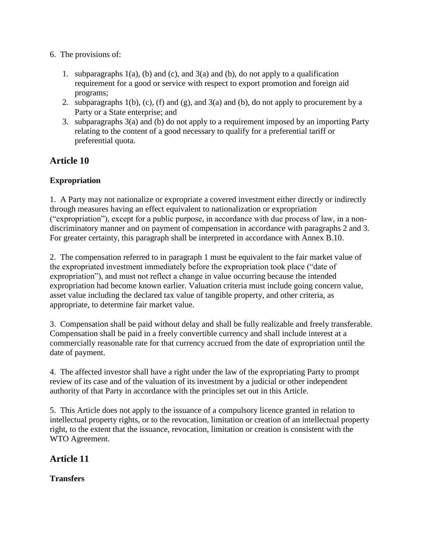- 6. The provisions of:
	- 1. subparagraphs  $1(a)$ , (b) and (c), and  $3(a)$  and (b), do not apply to a qualification requirement for a good or service with respect to export promotion and foreign aid programs;
	- 2. subparagraphs  $1(b)$ ,  $(c)$ ,  $(f)$  and  $(g)$ , and  $3(a)$  and  $(b)$ , do not apply to procurement by a Party or a State enterprise; and
	- 3. subparagraphs 3(a) and (b) do not apply to a requirement imposed by an importing Party relating to the content of a good necessary to qualify for a preferential tariff or preferential quota.

### **Article 10**

#### **Expropriation**

1. A Party may not nationalize or expropriate a covered investment either directly or indirectly through measures having an effect equivalent to nationalization or expropriation ("expropriation"), except for a public purpose, in accordance with due process of law, in a nondiscriminatory manner and on payment of compensation in accordance with paragraphs 2 and 3. For greater certainty, this paragraph shall be interpreted in accordance with Annex B.10.

2. The compensation referred to in paragraph 1 must be equivalent to the fair market value of the expropriated investment immediately before the expropriation took place ("date of expropriation"), and must not reflect a change in value occurring because the intended expropriation had become known earlier. Valuation criteria must include going concern value, asset value including the declared tax value of tangible property, and other criteria, as appropriate, to determine fair market value.

3. Compensation shall be paid without delay and shall be fully realizable and freely transferable. Compensation shall be paid in a freely convertible currency and shall include interest at a commercially reasonable rate for that currency accrued from the date of expropriation until the date of payment.

4. The affected investor shall have a right under the law of the expropriating Party to prompt review of its case and of the valuation of its investment by a judicial or other independent authority of that Party in accordance with the principles set out in this Article.

5. This Article does not apply to the issuance of a compulsory licence granted in relation to intellectual property rights, or to the revocation, limitation or creation of an intellectual property right, to the extent that the issuance, revocation, limitation or creation is consistent with the WTO Agreement.

**Article 11**

**Transfers**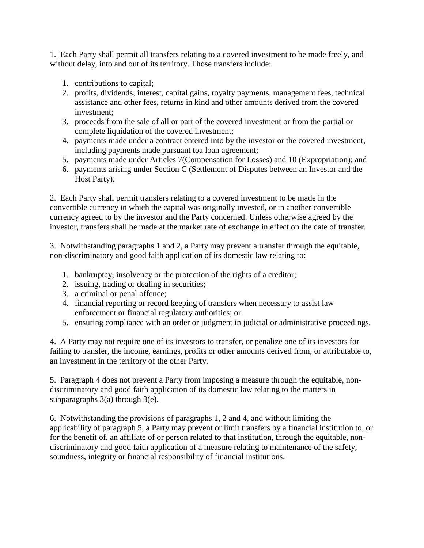1. Each Party shall permit all transfers relating to a covered investment to be made freely, and without delay, into and out of its territory. Those transfers include:

- 1. contributions to capital;
- 2. profits, dividends, interest, capital gains, royalty payments, management fees, technical assistance and other fees, returns in kind and other amounts derived from the covered investment;
- 3. proceeds from the sale of all or part of the covered investment or from the partial or complete liquidation of the covered investment;
- 4. payments made under a contract entered into by the investor or the covered investment, including payments made pursuant toa loan agreement;
- 5. payments made under Articles 7(Compensation for Losses) and 10 (Expropriation); and
- 6. payments arising under Section C (Settlement of Disputes between an Investor and the Host Party).

2. Each Party shall permit transfers relating to a covered investment to be made in the convertible currency in which the capital was originally invested, or in another convertible currency agreed to by the investor and the Party concerned. Unless otherwise agreed by the investor, transfers shall be made at the market rate of exchange in effect on the date of transfer.

3. Notwithstanding paragraphs 1 and 2, a Party may prevent a transfer through the equitable, non-discriminatory and good faith application of its domestic law relating to:

- 1. bankruptcy, insolvency or the protection of the rights of a creditor;
- 2. issuing, trading or dealing in securities;
- 3. a criminal or penal offence;
- 4. financial reporting or record keeping of transfers when necessary to assist law enforcement or financial regulatory authorities; or
- 5. ensuring compliance with an order or judgment in judicial or administrative proceedings.

4. A Party may not require one of its investors to transfer, or penalize one of its investors for failing to transfer, the income, earnings, profits or other amounts derived from, or attributable to, an investment in the territory of the other Party.

5. Paragraph 4 does not prevent a Party from imposing a measure through the equitable, nondiscriminatory and good faith application of its domestic law relating to the matters in subparagraphs 3(a) through 3(e).

6. Notwithstanding the provisions of paragraphs 1, 2 and 4, and without limiting the applicability of paragraph 5, a Party may prevent or limit transfers by a financial institution to, or for the benefit of, an affiliate of or person related to that institution, through the equitable, nondiscriminatory and good faith application of a measure relating to maintenance of the safety, soundness, integrity or financial responsibility of financial institutions.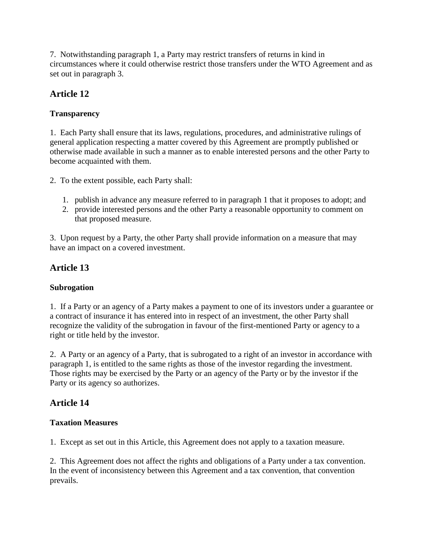7. Notwithstanding paragraph 1, a Party may restrict transfers of returns in kind in circumstances where it could otherwise restrict those transfers under the WTO Agreement and as set out in paragraph 3.

## **Article 12**

## **Transparency**

1. Each Party shall ensure that its laws, regulations, procedures, and administrative rulings of general application respecting a matter covered by this Agreement are promptly published or otherwise made available in such a manner as to enable interested persons and the other Party to become acquainted with them.

2. To the extent possible, each Party shall:

- 1. publish in advance any measure referred to in paragraph 1 that it proposes to adopt; and
- 2. provide interested persons and the other Party a reasonable opportunity to comment on that proposed measure.

3. Upon request by a Party, the other Party shall provide information on a measure that may have an impact on a covered investment.

## **Article 13**

#### **Subrogation**

1. If a Party or an agency of a Party makes a payment to one of its investors under a guarantee or a contract of insurance it has entered into in respect of an investment, the other Party shall recognize the validity of the subrogation in favour of the first-mentioned Party or agency to a right or title held by the investor.

2. A Party or an agency of a Party, that is subrogated to a right of an investor in accordance with paragraph 1, is entitled to the same rights as those of the investor regarding the investment. Those rights may be exercised by the Party or an agency of the Party or by the investor if the Party or its agency so authorizes.

## **Article 14**

#### **Taxation Measures**

1. Except as set out in this Article, this Agreement does not apply to a taxation measure.

2. This Agreement does not affect the rights and obligations of a Party under a tax convention. In the event of inconsistency between this Agreement and a tax convention, that convention prevails.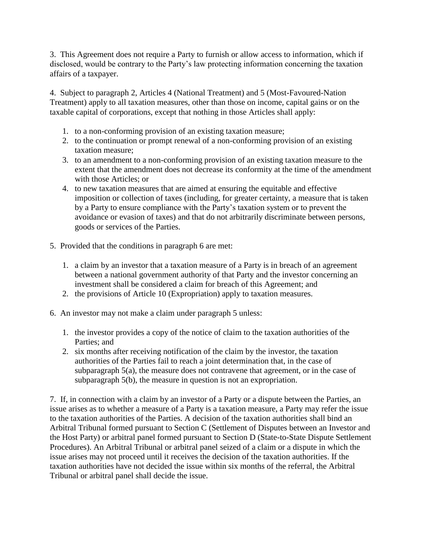3. This Agreement does not require a Party to furnish or allow access to information, which if disclosed, would be contrary to the Party's law protecting information concerning the taxation affairs of a taxpayer.

4. Subject to paragraph 2, Articles 4 (National Treatment) and 5 (Most-Favoured-Nation Treatment) apply to all taxation measures, other than those on income, capital gains or on the taxable capital of corporations, except that nothing in those Articles shall apply:

- 1. to a non-conforming provision of an existing taxation measure;
- 2. to the continuation or prompt renewal of a non-conforming provision of an existing taxation measure;
- 3. to an amendment to a non-conforming provision of an existing taxation measure to the extent that the amendment does not decrease its conformity at the time of the amendment with those Articles; or
- 4. to new taxation measures that are aimed at ensuring the equitable and effective imposition or collection of taxes (including, for greater certainty, a measure that is taken by a Party to ensure compliance with the Party's taxation system or to prevent the avoidance or evasion of taxes) and that do not arbitrarily discriminate between persons, goods or services of the Parties.
- 5. Provided that the conditions in paragraph 6 are met:
	- 1. a claim by an investor that a taxation measure of a Party is in breach of an agreement between a national government authority of that Party and the investor concerning an investment shall be considered a claim for breach of this Agreement; and
	- 2. the provisions of Article 10 (Expropriation) apply to taxation measures.
- 6. An investor may not make a claim under paragraph 5 unless:
	- 1. the investor provides a copy of the notice of claim to the taxation authorities of the Parties; and
	- 2. six months after receiving notification of the claim by the investor, the taxation authorities of the Parties fail to reach a joint determination that, in the case of subparagraph 5(a), the measure does not contravene that agreement, or in the case of subparagraph 5(b), the measure in question is not an expropriation.

7. If, in connection with a claim by an investor of a Party or a dispute between the Parties, an issue arises as to whether a measure of a Party is a taxation measure, a Party may refer the issue to the taxation authorities of the Parties. A decision of the taxation authorities shall bind an Arbitral Tribunal formed pursuant to Section C (Settlement of Disputes between an Investor and the Host Party) or arbitral panel formed pursuant to Section D (State-to-State Dispute Settlement Procedures). An Arbitral Tribunal or arbitral panel seized of a claim or a dispute in which the issue arises may not proceed until it receives the decision of the taxation authorities. If the taxation authorities have not decided the issue within six months of the referral, the Arbitral Tribunal or arbitral panel shall decide the issue.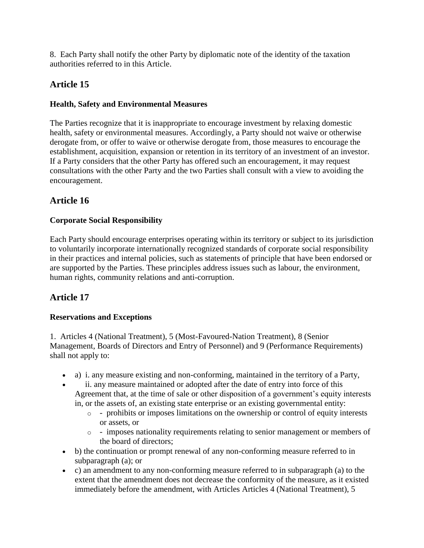8. Each Party shall notify the other Party by diplomatic note of the identity of the taxation authorities referred to in this Article.

## **Article 15**

#### **Health, Safety and Environmental Measures**

The Parties recognize that it is inappropriate to encourage investment by relaxing domestic health, safety or environmental measures. Accordingly, a Party should not waive or otherwise derogate from, or offer to waive or otherwise derogate from, those measures to encourage the establishment, acquisition, expansion or retention in its territory of an investment of an investor. If a Party considers that the other Party has offered such an encouragement, it may request consultations with the other Party and the two Parties shall consult with a view to avoiding the encouragement.

## **Article 16**

### **Corporate Social Responsibility**

Each Party should encourage enterprises operating within its territory or subject to its jurisdiction to voluntarily incorporate internationally recognized standards of corporate social responsibility in their practices and internal policies, such as statements of principle that have been endorsed or are supported by the Parties. These principles address issues such as labour, the environment, human rights, community relations and anti-corruption.

## **Article 17**

#### **Reservations and Exceptions**

1. Articles 4 (National Treatment), 5 (Most-Favoured-Nation Treatment), 8 (Senior Management, Boards of Directors and Entry of Personnel) and 9 (Performance Requirements) shall not apply to:

- a) i. any measure existing and non-conforming, maintained in the territory of a Party,
- ii. any measure maintained or adopted after the date of entry into force of this Agreement that, at the time of sale or other disposition of a government's equity interests in, or the assets of, an existing state enterprise or an existing governmental entity:
	- o prohibits or imposes limitations on the ownership or control of equity interests or assets, or
	- $\circ$  imposes nationality requirements relating to senior management or members of the board of directors;
- b) the continuation or prompt renewal of any non-conforming measure referred to in subparagraph (a); or
- c) an amendment to any non-conforming measure referred to in subparagraph (a) to the extent that the amendment does not decrease the conformity of the measure, as it existed immediately before the amendment, with Articles Articles 4 (National Treatment), 5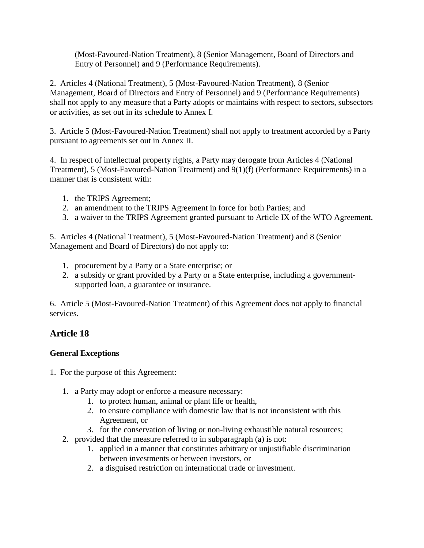(Most-Favoured-Nation Treatment), 8 (Senior Management, Board of Directors and Entry of Personnel) and 9 (Performance Requirements).

2. Articles 4 (National Treatment), 5 (Most-Favoured-Nation Treatment), 8 (Senior Management, Board of Directors and Entry of Personnel) and 9 (Performance Requirements) shall not apply to any measure that a Party adopts or maintains with respect to sectors, subsectors or activities, as set out in its schedule to Annex I.

3. Article 5 (Most-Favoured-Nation Treatment) shall not apply to treatment accorded by a Party pursuant to agreements set out in Annex II.

4. In respect of intellectual property rights, a Party may derogate from Articles 4 (National Treatment), 5 (Most-Favoured-Nation Treatment) and 9(1)(f) (Performance Requirements) in a manner that is consistent with:

- 1. the TRIPS Agreement;
- 2. an amendment to the TRIPS Agreement in force for both Parties; and
- 3. a waiver to the TRIPS Agreement granted pursuant to Article IX of the WTO Agreement.

5. Articles 4 (National Treatment), 5 (Most-Favoured-Nation Treatment) and 8 (Senior Management and Board of Directors) do not apply to:

- 1. procurement by a Party or a State enterprise; or
- 2. a subsidy or grant provided by a Party or a State enterprise, including a governmentsupported loan, a guarantee or insurance.

6. Article 5 (Most-Favoured-Nation Treatment) of this Agreement does not apply to financial services.

## **Article 18**

#### **General Exceptions**

- 1. For the purpose of this Agreement:
	- 1. a Party may adopt or enforce a measure necessary:
		- 1. to protect human, animal or plant life or health,
		- 2. to ensure compliance with domestic law that is not inconsistent with this Agreement, or
		- 3. for the conservation of living or non-living exhaustible natural resources;
	- 2. provided that the measure referred to in subparagraph (a) is not:
		- 1. applied in a manner that constitutes arbitrary or unjustifiable discrimination between investments or between investors, or
		- 2. a disguised restriction on international trade or investment.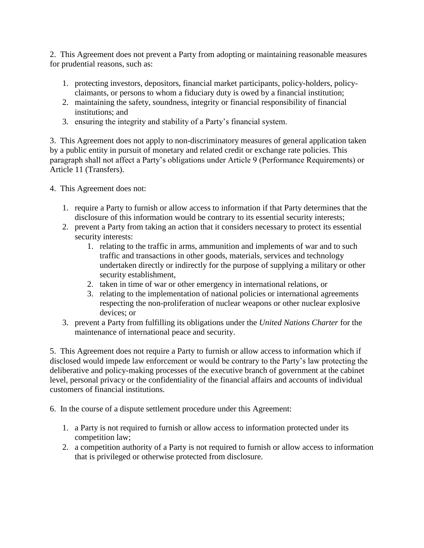2. This Agreement does not prevent a Party from adopting or maintaining reasonable measures for prudential reasons, such as:

- 1. protecting investors, depositors, financial market participants, policy-holders, policyclaimants, or persons to whom a fiduciary duty is owed by a financial institution;
- 2. maintaining the safety, soundness, integrity or financial responsibility of financial institutions; and
- 3. ensuring the integrity and stability of a Party's financial system.

3. This Agreement does not apply to non-discriminatory measures of general application taken by a public entity in pursuit of monetary and related credit or exchange rate policies. This paragraph shall not affect a Party's obligations under Article 9 (Performance Requirements) or Article 11 (Transfers).

4. This Agreement does not:

- 1. require a Party to furnish or allow access to information if that Party determines that the disclosure of this information would be contrary to its essential security interests;
- 2. prevent a Party from taking an action that it considers necessary to protect its essential security interests:
	- 1. relating to the traffic in arms, ammunition and implements of war and to such traffic and transactions in other goods, materials, services and technology undertaken directly or indirectly for the purpose of supplying a military or other security establishment,
	- 2. taken in time of war or other emergency in international relations, or
	- 3. relating to the implementation of national policies or international agreements respecting the non-proliferation of nuclear weapons or other nuclear explosive devices; or
- 3. prevent a Party from fulfilling its obligations under the *United Nations Charter* for the maintenance of international peace and security.

5. This Agreement does not require a Party to furnish or allow access to information which if disclosed would impede law enforcement or would be contrary to the Party's law protecting the deliberative and policy-making processes of the executive branch of government at the cabinet level, personal privacy or the confidentiality of the financial affairs and accounts of individual customers of financial institutions.

6. In the course of a dispute settlement procedure under this Agreement:

- 1. a Party is not required to furnish or allow access to information protected under its competition law;
- 2. a competition authority of a Party is not required to furnish or allow access to information that is privileged or otherwise protected from disclosure.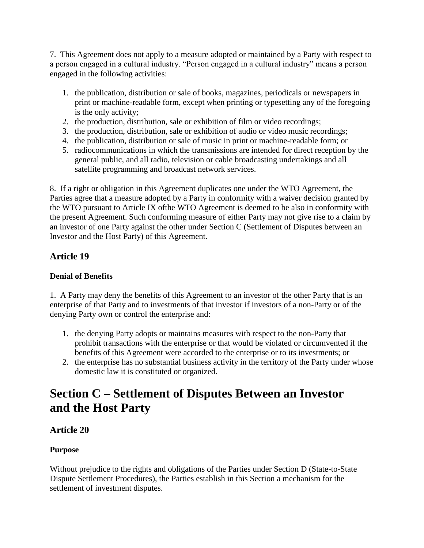7. This Agreement does not apply to a measure adopted or maintained by a Party with respect to a person engaged in a cultural industry. "Person engaged in a cultural industry" means a person engaged in the following activities:

- 1. the publication, distribution or sale of books, magazines, periodicals or newspapers in print or machine-readable form, except when printing or typesetting any of the foregoing is the only activity;
- 2. the production, distribution, sale or exhibition of film or video recordings;
- 3. the production, distribution, sale or exhibition of audio or video music recordings;
- 4. the publication, distribution or sale of music in print or machine-readable form; or
- 5. radiocommunications in which the transmissions are intended for direct reception by the general public, and all radio, television or cable broadcasting undertakings and all satellite programming and broadcast network services.

8. If a right or obligation in this Agreement duplicates one under the WTO Agreement, the Parties agree that a measure adopted by a Party in conformity with a waiver decision granted by the WTO pursuant to Article IX ofthe WTO Agreement is deemed to be also in conformity with the present Agreement. Such conforming measure of either Party may not give rise to a claim by an investor of one Party against the other under Section C (Settlement of Disputes between an Investor and the Host Party) of this Agreement.

## **Article 19**

#### **Denial of Benefits**

1. A Party may deny the benefits of this Agreement to an investor of the other Party that is an enterprise of that Party and to investments of that investor if investors of a non-Party or of the denying Party own or control the enterprise and:

- 1. the denying Party adopts or maintains measures with respect to the non-Party that prohibit transactions with the enterprise or that would be violated or circumvented if the benefits of this Agreement were accorded to the enterprise or to its investments; or
- 2. the enterprise has no substantial business activity in the territory of the Party under whose domestic law it is constituted or organized.

## **Section C – Settlement of Disputes Between an Investor and the Host Party**

## **Article 20**

#### **Purpose**

Without prejudice to the rights and obligations of the Parties under Section D (State-to-State Dispute Settlement Procedures), the Parties establish in this Section a mechanism for the settlement of investment disputes.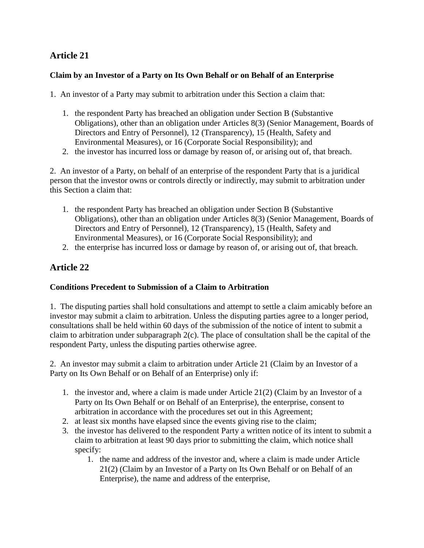## **Article 21**

#### **Claim by an Investor of a Party on Its Own Behalf or on Behalf of an Enterprise**

1. An investor of a Party may submit to arbitration under this Section a claim that:

- 1. the respondent Party has breached an obligation under Section B (Substantive Obligations), other than an obligation under Articles 8(3) (Senior Management, Boards of Directors and Entry of Personnel), 12 (Transparency), 15 (Health, Safety and Environmental Measures), or 16 (Corporate Social Responsibility); and
- 2. the investor has incurred loss or damage by reason of, or arising out of, that breach.

2. An investor of a Party, on behalf of an enterprise of the respondent Party that is a juridical person that the investor owns or controls directly or indirectly, may submit to arbitration under this Section a claim that:

- 1. the respondent Party has breached an obligation under Section B (Substantive Obligations), other than an obligation under Articles 8(3) (Senior Management, Boards of Directors and Entry of Personnel), 12 (Transparency), 15 (Health, Safety and Environmental Measures), or 16 (Corporate Social Responsibility); and
- 2. the enterprise has incurred loss or damage by reason of, or arising out of, that breach.

## **Article 22**

#### **Conditions Precedent to Submission of a Claim to Arbitration**

1. The disputing parties shall hold consultations and attempt to settle a claim amicably before an investor may submit a claim to arbitration. Unless the disputing parties agree to a longer period, consultations shall be held within 60 days of the submission of the notice of intent to submit a claim to arbitration under subparagraph 2(c). The place of consultation shall be the capital of the respondent Party, unless the disputing parties otherwise agree.

2. An investor may submit a claim to arbitration under Article 21 (Claim by an Investor of a Party on Its Own Behalf or on Behalf of an Enterprise) only if:

- 1. the investor and, where a claim is made under Article 21(2) (Claim by an Investor of a Party on Its Own Behalf or on Behalf of an Enterprise), the enterprise, consent to arbitration in accordance with the procedures set out in this Agreement;
- 2. at least six months have elapsed since the events giving rise to the claim;
- 3. the investor has delivered to the respondent Party a written notice of its intent to submit a claim to arbitration at least 90 days prior to submitting the claim, which notice shall specify:
	- 1. the name and address of the investor and, where a claim is made under Article 21(2) (Claim by an Investor of a Party on Its Own Behalf or on Behalf of an Enterprise), the name and address of the enterprise,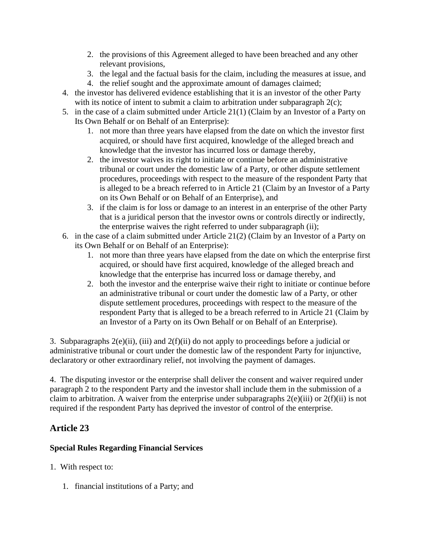- 2. the provisions of this Agreement alleged to have been breached and any other relevant provisions,
- 3. the legal and the factual basis for the claim, including the measures at issue, and
- 4. the relief sought and the approximate amount of damages claimed;
- 4. the investor has delivered evidence establishing that it is an investor of the other Party with its notice of intent to submit a claim to arbitration under subparagraph  $2(c)$ ;
- 5. in the case of a claim submitted under Article 21(1) (Claim by an Investor of a Party on Its Own Behalf or on Behalf of an Enterprise):
	- 1. not more than three years have elapsed from the date on which the investor first acquired, or should have first acquired, knowledge of the alleged breach and knowledge that the investor has incurred loss or damage thereby,
	- 2. the investor waives its right to initiate or continue before an administrative tribunal or court under the domestic law of a Party, or other dispute settlement procedures, proceedings with respect to the measure of the respondent Party that is alleged to be a breach referred to in Article 21 (Claim by an Investor of a Party on its Own Behalf or on Behalf of an Enterprise), and
	- 3. if the claim is for loss or damage to an interest in an enterprise of the other Party that is a juridical person that the investor owns or controls directly or indirectly, the enterprise waives the right referred to under subparagraph (ii);
- 6. in the case of a claim submitted under Article 21(2) (Claim by an Investor of a Party on its Own Behalf or on Behalf of an Enterprise):
	- 1. not more than three years have elapsed from the date on which the enterprise first acquired, or should have first acquired, knowledge of the alleged breach and knowledge that the enterprise has incurred loss or damage thereby, and
	- 2. both the investor and the enterprise waive their right to initiate or continue before an administrative tribunal or court under the domestic law of a Party, or other dispute settlement procedures, proceedings with respect to the measure of the respondent Party that is alleged to be a breach referred to in Article 21 (Claim by an Investor of a Party on its Own Behalf or on Behalf of an Enterprise).

3. Subparagraphs 2(e)(ii), (iii) and 2(f)(ii) do not apply to proceedings before a judicial or administrative tribunal or court under the domestic law of the respondent Party for injunctive, declaratory or other extraordinary relief, not involving the payment of damages.

4. The disputing investor or the enterprise shall deliver the consent and waiver required under paragraph 2 to the respondent Party and the investor shall include them in the submission of a claim to arbitration. A waiver from the enterprise under subparagraphs  $2(e)(iii)$  or  $2(f)(ii)$  is not required if the respondent Party has deprived the investor of control of the enterprise.

## **Article 23**

#### **Special Rules Regarding Financial Services**

- 1. With respect to:
	- 1. financial institutions of a Party; and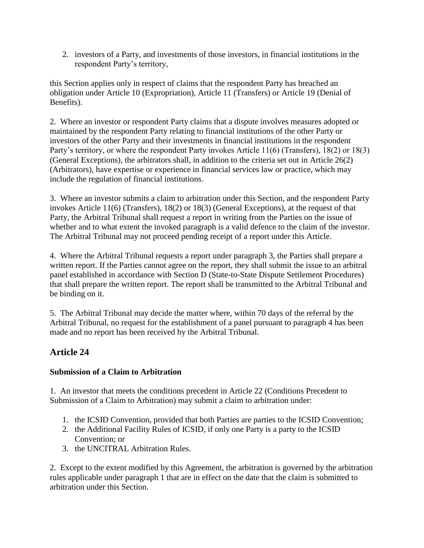2. investors of a Party, and investments of those investors, in financial institutions in the respondent Party's territory,

this Section applies only in respect of claims that the respondent Party has breached an obligation under Article 10 (Expropriation), Article 11 (Transfers) or Article 19 (Denial of Benefits).

2. Where an investor or respondent Party claims that a dispute involves measures adopted or maintained by the respondent Party relating to financial institutions of the other Party or investors of the other Party and their investments in financial institutions in the respondent Party's territory, or where the respondent Party invokes Article 11(6) (Transfers), 18(2) or 18(3) (General Exceptions), the arbitrators shall, in addition to the criteria set out in Article 26(2) (Arbitrators), have expertise or experience in financial services law or practice, which may include the regulation of financial institutions.

3. Where an investor submits a claim to arbitration under this Section, and the respondent Party invokes Article 11(6) (Transfers), 18(2) or 18(3) (General Exceptions), at the request of that Party, the Arbitral Tribunal shall request a report in writing from the Parties on the issue of whether and to what extent the invoked paragraph is a valid defence to the claim of the investor. The Arbitral Tribunal may not proceed pending receipt of a report under this Article.

4. Where the Arbitral Tribunal requests a report under paragraph 3, the Parties shall prepare a written report. If the Parties cannot agree on the report, they shall submit the issue to an arbitral panel established in accordance with Section D (State-to-State Dispute Settlement Procedures) that shall prepare the written report. The report shall be transmitted to the Arbitral Tribunal and be binding on it.

5. The Arbitral Tribunal may decide the matter where, within 70 days of the referral by the Arbitral Tribunal, no request for the establishment of a panel pursuant to paragraph 4 has been made and no report has been received by the Arbitral Tribunal.

## **Article 24**

#### **Submission of a Claim to Arbitration**

1. An investor that meets the conditions precedent in Article 22 (Conditions Precedent to Submission of a Claim to Arbitration) may submit a claim to arbitration under:

- 1. the ICSID Convention, provided that both Parties are parties to the ICSID Convention;
- 2. the Additional Facility Rules of ICSID, if only one Party is a party to the ICSID Convention; or
- 3. the UNCITRAL Arbitration Rules.

2. Except to the extent modified by this Agreement, the arbitration is governed by the arbitration rules applicable under paragraph 1 that are in effect on the date that the claim is submitted to arbitration under this Section.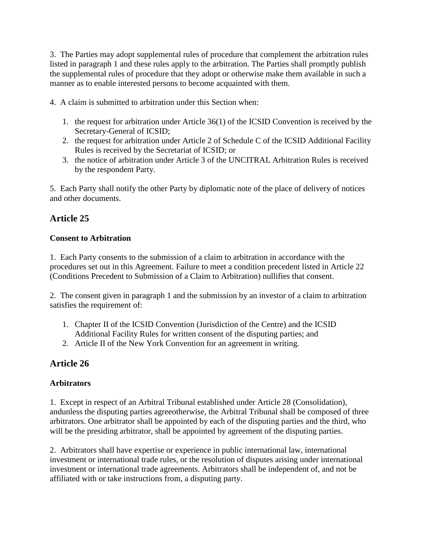3. The Parties may adopt supplemental rules of procedure that complement the arbitration rules listed in paragraph 1 and these rules apply to the arbitration. The Parties shall promptly publish the supplemental rules of procedure that they adopt or otherwise make them available in such a manner as to enable interested persons to become acquainted with them.

4. A claim is submitted to arbitration under this Section when:

- 1. the request for arbitration under Article 36(1) of the ICSID Convention is received by the Secretary-General of ICSID;
- 2. the request for arbitration under Article 2 of Schedule C of the ICSID Additional Facility Rules is received by the Secretariat of ICSID; or
- 3. the notice of arbitration under Article 3 of the UNCITRAL Arbitration Rules is received by the respondent Party.

5. Each Party shall notify the other Party by diplomatic note of the place of delivery of notices and other documents.

## **Article 25**

#### **Consent to Arbitration**

1. Each Party consents to the submission of a claim to arbitration in accordance with the procedures set out in this Agreement. Failure to meet a condition precedent listed in Article 22 (Conditions Precedent to Submission of a Claim to Arbitration) nullifies that consent.

2. The consent given in paragraph 1 and the submission by an investor of a claim to arbitration satisfies the requirement of:

- 1. Chapter II of the ICSID Convention (Jurisdiction of the Centre) and the ICSID Additional Facility Rules for written consent of the disputing parties; and
- 2. Article II of the New York Convention for an agreement in writing.

## **Article 26**

#### **Arbitrators**

1. Except in respect of an Arbitral Tribunal established under Article 28 (Consolidation), andunless the disputing parties agreeotherwise, the Arbitral Tribunal shall be composed of three arbitrators. One arbitrator shall be appointed by each of the disputing parties and the third, who will be the presiding arbitrator, shall be appointed by agreement of the disputing parties.

2. Arbitrators shall have expertise or experience in public international law, international investment or international trade rules, or the resolution of disputes arising under international investment or international trade agreements. Arbitrators shall be independent of, and not be affiliated with or take instructions from, a disputing party.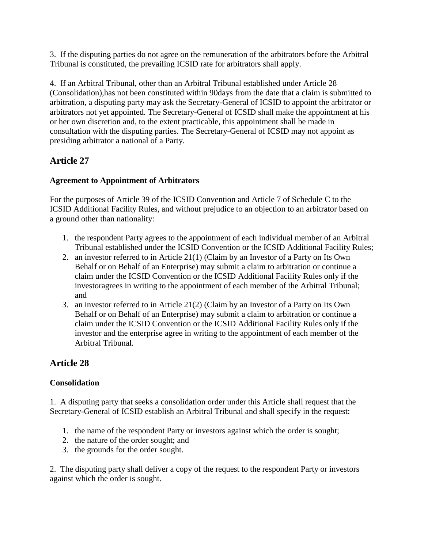3. If the disputing parties do not agree on the remuneration of the arbitrators before the Arbitral Tribunal is constituted, the prevailing ICSID rate for arbitrators shall apply.

4. If an Arbitral Tribunal, other than an Arbitral Tribunal established under Article 28 (Consolidation),has not been constituted within 90days from the date that a claim is submitted to arbitration, a disputing party may ask the Secretary-General of ICSID to appoint the arbitrator or arbitrators not yet appointed. The Secretary-General of ICSID shall make the appointment at his or her own discretion and, to the extent practicable, this appointment shall be made in consultation with the disputing parties. The Secretary-General of ICSID may not appoint as presiding arbitrator a national of a Party.

## **Article 27**

### **Agreement to Appointment of Arbitrators**

For the purposes of Article 39 of the ICSID Convention and Article 7 of Schedule C to the ICSID Additional Facility Rules, and without prejudice to an objection to an arbitrator based on a ground other than nationality:

- 1. the respondent Party agrees to the appointment of each individual member of an Arbitral Tribunal established under the ICSID Convention or the ICSID Additional Facility Rules;
- 2. an investor referred to in Article 21(1) (Claim by an Investor of a Party on Its Own Behalf or on Behalf of an Enterprise) may submit a claim to arbitration or continue a claim under the ICSID Convention or the ICSID Additional Facility Rules only if the investoragrees in writing to the appointment of each member of the Arbitral Tribunal; and
- 3. an investor referred to in Article 21(2) (Claim by an Investor of a Party on Its Own Behalf or on Behalf of an Enterprise) may submit a claim to arbitration or continue a claim under the ICSID Convention or the ICSID Additional Facility Rules only if the investor and the enterprise agree in writing to the appointment of each member of the Arbitral Tribunal.

## **Article 28**

## **Consolidation**

1. A disputing party that seeks a consolidation order under this Article shall request that the Secretary-General of ICSID establish an Arbitral Tribunal and shall specify in the request:

- 1. the name of the respondent Party or investors against which the order is sought;
- 2. the nature of the order sought; and
- 3. the grounds for the order sought.

2. The disputing party shall deliver a copy of the request to the respondent Party or investors against which the order is sought.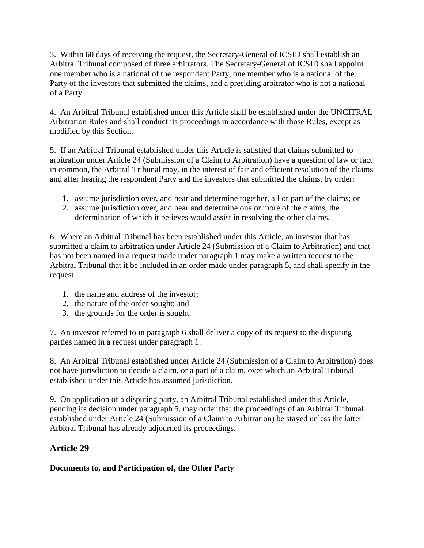3. Within 60 days of receiving the request, the Secretary-General of ICSID shall establish an Arbitral Tribunal composed of three arbitrators. The Secretary-General of ICSID shall appoint one member who is a national of the respondent Party, one member who is a national of the Party of the investors that submitted the claims, and a presiding arbitrator who is not a national of a Party.

4. An Arbitral Tribunal established under this Article shall be established under the UNCITRAL Arbitration Rules and shall conduct its proceedings in accordance with those Rules, except as modified by this Section.

5. If an Arbitral Tribunal established under this Article is satisfied that claims submitted to arbitration under Article 24 (Submission of a Claim to Arbitration) have a question of law or fact in common, the Arbitral Tribunal may, in the interest of fair and efficient resolution of the claims and after hearing the respondent Party and the investors that submitted the claims, by order:

- 1. assume jurisdiction over, and hear and determine together, all or part of the claims; or
- 2. assume jurisdiction over, and hear and determine one or more of the claims, the determination of which it believes would assist in resolving the other claims.

6. Where an Arbitral Tribunal has been established under this Article, an investor that has submitted a claim to arbitration under Article 24 (Submission of a Claim to Arbitration) and that has not been named in a request made under paragraph 1 may make a written request to the Arbitral Tribunal that it be included in an order made under paragraph 5, and shall specify in the request:

- 1. the name and address of the investor;
- 2. the nature of the order sought; and
- 3. the grounds for the order is sought.

7. An investor referred to in paragraph 6 shall deliver a copy of its request to the disputing parties named in a request under paragraph 1.

8. An Arbitral Tribunal established under Article 24 (Submission of a Claim to Arbitration) does not have jurisdiction to decide a claim, or a part of a claim, over which an Arbitral Tribunal established under this Article has assumed jurisdiction.

9. On application of a disputing party, an Arbitral Tribunal established under this Article, pending its decision under paragraph 5, may order that the proceedings of an Arbitral Tribunal established under Article 24 (Submission of a Claim to Arbitration) be stayed unless the latter Arbitral Tribunal has already adjourned its proceedings.

## **Article 29**

#### **Documents to, and Participation of, the Other Party**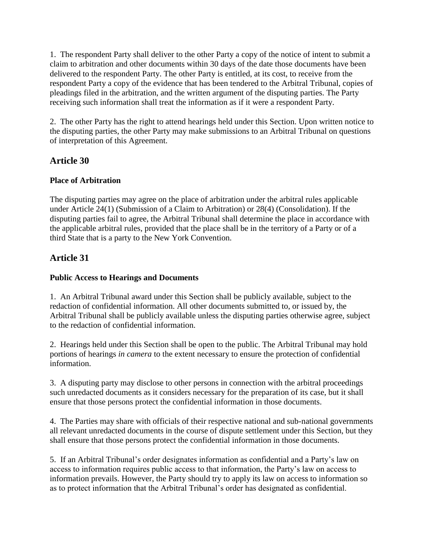1. The respondent Party shall deliver to the other Party a copy of the notice of intent to submit a claim to arbitration and other documents within 30 days of the date those documents have been delivered to the respondent Party. The other Party is entitled, at its cost, to receive from the respondent Party a copy of the evidence that has been tendered to the Arbitral Tribunal, copies of pleadings filed in the arbitration, and the written argument of the disputing parties. The Party receiving such information shall treat the information as if it were a respondent Party.

2. The other Party has the right to attend hearings held under this Section. Upon written notice to the disputing parties, the other Party may make submissions to an Arbitral Tribunal on questions of interpretation of this Agreement.

## **Article 30**

#### **Place of Arbitration**

The disputing parties may agree on the place of arbitration under the arbitral rules applicable under Article 24(1) (Submission of a Claim to Arbitration) or 28(4) (Consolidation). If the disputing parties fail to agree, the Arbitral Tribunal shall determine the place in accordance with the applicable arbitral rules, provided that the place shall be in the territory of a Party or of a third State that is a party to the New York Convention.

## **Article 31**

## **Public Access to Hearings and Documents**

1. An Arbitral Tribunal award under this Section shall be publicly available, subject to the redaction of confidential information. All other documents submitted to, or issued by, the Arbitral Tribunal shall be publicly available unless the disputing parties otherwise agree, subject to the redaction of confidential information.

2. Hearings held under this Section shall be open to the public. The Arbitral Tribunal may hold portions of hearings *in camera* to the extent necessary to ensure the protection of confidential information.

3. A disputing party may disclose to other persons in connection with the arbitral proceedings such unredacted documents as it considers necessary for the preparation of its case, but it shall ensure that those persons protect the confidential information in those documents.

4. The Parties may share with officials of their respective national and sub-national governments all relevant unredacted documents in the course of dispute settlement under this Section, but they shall ensure that those persons protect the confidential information in those documents.

5. If an Arbitral Tribunal's order designates information as confidential and a Party's law on access to information requires public access to that information, the Party's law on access to information prevails. However, the Party should try to apply its law on access to information so as to protect information that the Arbitral Tribunal's order has designated as confidential.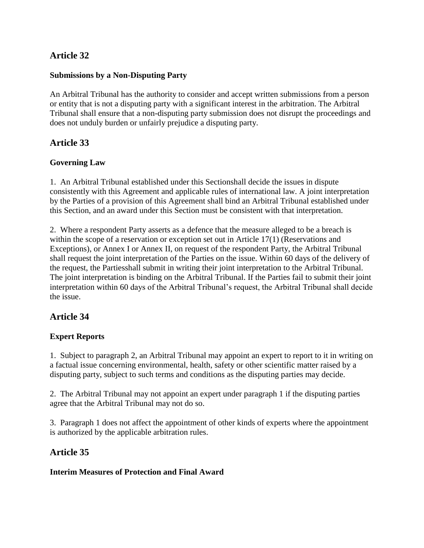## **Article 32**

#### **Submissions by a Non-Disputing Party**

An Arbitral Tribunal has the authority to consider and accept written submissions from a person or entity that is not a disputing party with a significant interest in the arbitration. The Arbitral Tribunal shall ensure that a non-disputing party submission does not disrupt the proceedings and does not unduly burden or unfairly prejudice a disputing party.

### **Article 33**

#### **Governing Law**

1. An Arbitral Tribunal established under this Sectionshall decide the issues in dispute consistently with this Agreement and applicable rules of international law. A joint interpretation by the Parties of a provision of this Agreement shall bind an Arbitral Tribunal established under this Section, and an award under this Section must be consistent with that interpretation.

2. Where a respondent Party asserts as a defence that the measure alleged to be a breach is within the scope of a reservation or exception set out in Article 17(1) (Reservations and Exceptions), or Annex I or Annex II, on request of the respondent Party, the Arbitral Tribunal shall request the joint interpretation of the Parties on the issue. Within 60 days of the delivery of the request, the Partiesshall submit in writing their joint interpretation to the Arbitral Tribunal. The joint interpretation is binding on the Arbitral Tribunal. If the Parties fail to submit their joint interpretation within 60 days of the Arbitral Tribunal's request, the Arbitral Tribunal shall decide the issue.

#### **Article 34**

#### **Expert Reports**

1. Subject to paragraph 2, an Arbitral Tribunal may appoint an expert to report to it in writing on a factual issue concerning environmental, health, safety or other scientific matter raised by a disputing party, subject to such terms and conditions as the disputing parties may decide.

2. The Arbitral Tribunal may not appoint an expert under paragraph 1 if the disputing parties agree that the Arbitral Tribunal may not do so.

3. Paragraph 1 does not affect the appointment of other kinds of experts where the appointment is authorized by the applicable arbitration rules.

#### **Article 35**

#### **Interim Measures of Protection and Final Award**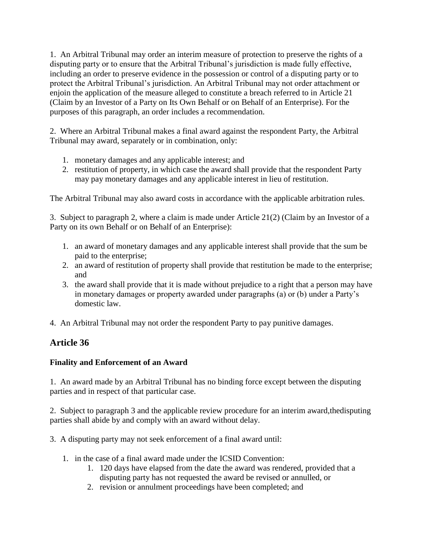1. An Arbitral Tribunal may order an interim measure of protection to preserve the rights of a disputing party or to ensure that the Arbitral Tribunal's jurisdiction is made fully effective, including an order to preserve evidence in the possession or control of a disputing party or to protect the Arbitral Tribunal's jurisdiction. An Arbitral Tribunal may not order attachment or enjoin the application of the measure alleged to constitute a breach referred to in Article 21 (Claim by an Investor of a Party on Its Own Behalf or on Behalf of an Enterprise). For the purposes of this paragraph, an order includes a recommendation.

2. Where an Arbitral Tribunal makes a final award against the respondent Party, the Arbitral Tribunal may award, separately or in combination, only:

- 1. monetary damages and any applicable interest; and
- 2. restitution of property, in which case the award shall provide that the respondent Party may pay monetary damages and any applicable interest in lieu of restitution.

The Arbitral Tribunal may also award costs in accordance with the applicable arbitration rules.

3. Subject to paragraph 2, where a claim is made under Article 21(2) (Claim by an Investor of a Party on its own Behalf or on Behalf of an Enterprise):

- 1. an award of monetary damages and any applicable interest shall provide that the sum be paid to the enterprise;
- 2. an award of restitution of property shall provide that restitution be made to the enterprise; and
- 3. the award shall provide that it is made without prejudice to a right that a person may have in monetary damages or property awarded under paragraphs (a) or (b) under a Party's domestic law.
- 4. An Arbitral Tribunal may not order the respondent Party to pay punitive damages.

## **Article 36**

#### **Finality and Enforcement of an Award**

1. An award made by an Arbitral Tribunal has no binding force except between the disputing parties and in respect of that particular case.

2. Subject to paragraph 3 and the applicable review procedure for an interim award,thedisputing parties shall abide by and comply with an award without delay.

3. A disputing party may not seek enforcement of a final award until:

- 1. in the case of a final award made under the ICSID Convention:
	- 1. 120 days have elapsed from the date the award was rendered, provided that a disputing party has not requested the award be revised or annulled, or
	- 2. revision or annulment proceedings have been completed; and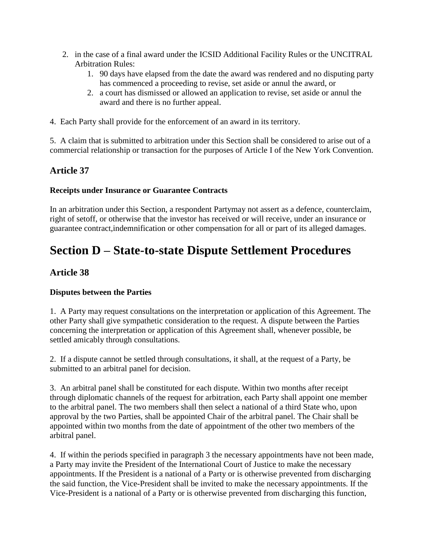- 2. in the case of a final award under the ICSID Additional Facility Rules or the UNCITRAL Arbitration Rules:
	- 1. 90 days have elapsed from the date the award was rendered and no disputing party has commenced a proceeding to revise, set aside or annul the award, or
	- 2. a court has dismissed or allowed an application to revise, set aside or annul the award and there is no further appeal.
- 4. Each Party shall provide for the enforcement of an award in its territory.

5. A claim that is submitted to arbitration under this Section shall be considered to arise out of a commercial relationship or transaction for the purposes of Article I of the New York Convention.

### **Article 37**

#### **Receipts under Insurance or Guarantee Contracts**

In an arbitration under this Section, a respondent Partymay not assert as a defence, counterclaim, right of setoff, or otherwise that the investor has received or will receive, under an insurance or guarantee contract,indemnification or other compensation for all or part of its alleged damages.

## **Section D – State-to-state Dispute Settlement Procedures**

#### **Article 38**

#### **Disputes between the Parties**

1. A Party may request consultations on the interpretation or application of this Agreement. The other Party shall give sympathetic consideration to the request. A dispute between the Parties concerning the interpretation or application of this Agreement shall, whenever possible, be settled amicably through consultations.

2. If a dispute cannot be settled through consultations, it shall, at the request of a Party, be submitted to an arbitral panel for decision.

3. An arbitral panel shall be constituted for each dispute. Within two months after receipt through diplomatic channels of the request for arbitration, each Party shall appoint one member to the arbitral panel. The two members shall then select a national of a third State who, upon approval by the two Parties, shall be appointed Chair of the arbitral panel. The Chair shall be appointed within two months from the date of appointment of the other two members of the arbitral panel.

4. If within the periods specified in paragraph 3 the necessary appointments have not been made, a Party may invite the President of the International Court of Justice to make the necessary appointments. If the President is a national of a Party or is otherwise prevented from discharging the said function, the Vice-President shall be invited to make the necessary appointments. If the Vice-President is a national of a Party or is otherwise prevented from discharging this function,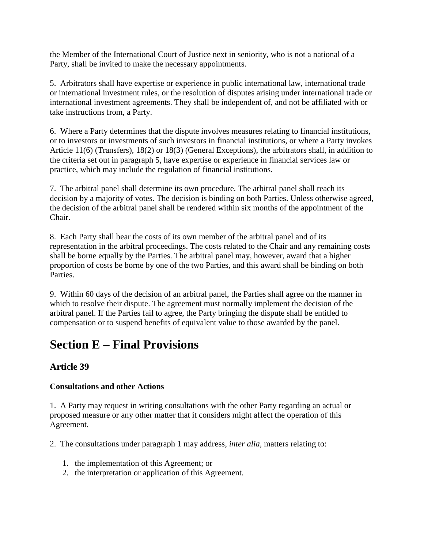the Member of the International Court of Justice next in seniority, who is not a national of a Party, shall be invited to make the necessary appointments.

5. Arbitrators shall have expertise or experience in public international law, international trade or international investment rules, or the resolution of disputes arising under international trade or international investment agreements. They shall be independent of, and not be affiliated with or take instructions from, a Party.

6. Where a Party determines that the dispute involves measures relating to financial institutions, or to investors or investments of such investors in financial institutions, or where a Party invokes Article 11(6) (Transfers), 18(2) or 18(3) (General Exceptions), the arbitrators shall, in addition to the criteria set out in paragraph 5, have expertise or experience in financial services law or practice, which may include the regulation of financial institutions.

7. The arbitral panel shall determine its own procedure. The arbitral panel shall reach its decision by a majority of votes. The decision is binding on both Parties. Unless otherwise agreed, the decision of the arbitral panel shall be rendered within six months of the appointment of the Chair.

8. Each Party shall bear the costs of its own member of the arbitral panel and of its representation in the arbitral proceedings. The costs related to the Chair and any remaining costs shall be borne equally by the Parties. The arbitral panel may, however, award that a higher proportion of costs be borne by one of the two Parties, and this award shall be binding on both Parties.

9. Within 60 days of the decision of an arbitral panel, the Parties shall agree on the manner in which to resolve their dispute. The agreement must normally implement the decision of the arbitral panel. If the Parties fail to agree, the Party bringing the dispute shall be entitled to compensation or to suspend benefits of equivalent value to those awarded by the panel.

## **Section E – Final Provisions**

## **Article 39**

#### **Consultations and other Actions**

1. A Party may request in writing consultations with the other Party regarding an actual or proposed measure or any other matter that it considers might affect the operation of this Agreement.

- 2. The consultations under paragraph 1 may address, *inter alia,* matters relating to:
	- 1. the implementation of this Agreement; or
	- 2. the interpretation or application of this Agreement.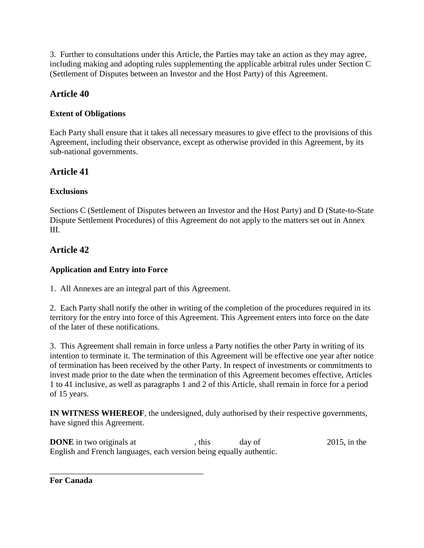3. Further to consultations under this Article, the Parties may take an action as they may agree, including making and adopting rules supplementing the applicable arbitral rules under Section C (Settlement of Disputes between an Investor and the Host Party) of this Agreement.

## **Article 40**

#### **Extent of Obligations**

Each Party shall ensure that it takes all necessary measures to give effect to the provisions of this Agreement, including their observance, except as otherwise provided in this Agreement, by its sub-national governments.

## **Article 41**

#### **Exclusions**

Sections C (Settlement of Disputes between an Investor and the Host Party) and D (State-to-State Dispute Settlement Procedures) of this Agreement do not apply to the matters set out in Annex III.

## **Article 42**

#### **Application and Entry into Force**

1. All Annexes are an integral part of this Agreement.

\_\_\_\_\_\_\_\_\_\_\_\_\_\_\_\_\_\_\_\_\_\_\_\_\_\_\_\_\_\_\_\_\_\_\_\_\_

2. Each Party shall notify the other in writing of the completion of the procedures required in its territory for the entry into force of this Agreement. This Agreement enters into force on the date of the later of these notifications.

3. This Agreement shall remain in force unless a Party notifies the other Party in writing of its intention to terminate it. The termination of this Agreement will be effective one year after notice of termination has been received by the other Party. In respect of investments or commitments to invest made prior to the date when the termination of this Agreement becomes effective, Articles 1 to 41 inclusive, as well as paragraphs 1 and 2 of this Article, shall remain in force for a period of 15 years.

**IN WITNESS WHEREOF**, the undersigned, duly authorised by their respective governments, have signed this Agreement.

**DONE** in two originals at , this day of 2015, in the English and French languages, each version being equally authentic.

**For Canada**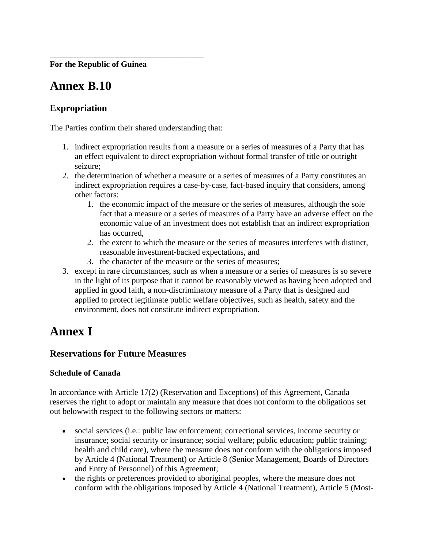**For the Republic of Guinea**

## **Annex B.10**

### **Expropriation**

The Parties confirm their shared understanding that:

\_\_\_\_\_\_\_\_\_\_\_\_\_\_\_\_\_\_\_\_\_\_\_\_\_\_\_\_\_\_\_\_\_\_\_\_\_

- 1. indirect expropriation results from a measure or a series of measures of a Party that has an effect equivalent to direct expropriation without formal transfer of title or outright seizure;
- 2. the determination of whether a measure or a series of measures of a Party constitutes an indirect expropriation requires a case-by-case, fact-based inquiry that considers, among other factors:
	- 1. the economic impact of the measure or the series of measures, although the sole fact that a measure or a series of measures of a Party have an adverse effect on the economic value of an investment does not establish that an indirect expropriation has occurred,
	- 2. the extent to which the measure or the series of measures interferes with distinct, reasonable investment-backed expectations, and
	- 3. the character of the measure or the series of measures;
- 3. except in rare circumstances, such as when a measure or a series of measures is so severe in the light of its purpose that it cannot be reasonably viewed as having been adopted and applied in good faith, a non-discriminatory measure of a Party that is designed and applied to protect legitimate public welfare objectives, such as health, safety and the environment, does not constitute indirect expropriation.

## **Annex I**

#### **Reservations for Future Measures**

#### **Schedule of Canada**

In accordance with Article 17(2) (Reservation and Exceptions) of this Agreement, Canada reserves the right to adopt or maintain any measure that does not conform to the obligations set out belowwith respect to the following sectors or matters:

- social services (i.e.: public law enforcement; correctional services, income security or insurance; social security or insurance; social welfare; public education; public training; health and child care), where the measure does not conform with the obligations imposed by Article 4 (National Treatment) or Article 8 (Senior Management, Boards of Directors and Entry of Personnel) of this Agreement;
- the rights or preferences provided to aboriginal peoples, where the measure does not conform with the obligations imposed by Article 4 (National Treatment), Article 5 (Most-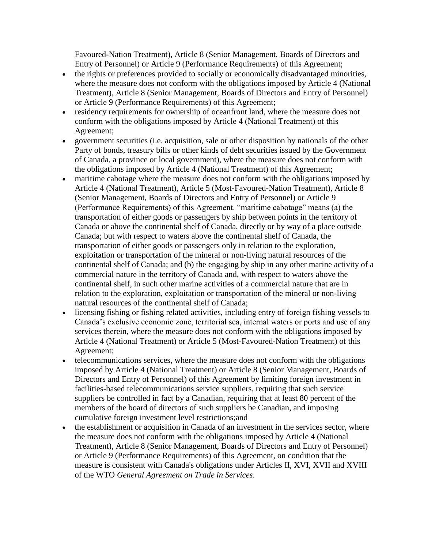Favoured-Nation Treatment), Article 8 (Senior Management, Boards of Directors and Entry of Personnel) or Article 9 (Performance Requirements) of this Agreement;

- the rights or preferences provided to socially or economically disadvantaged minorities, where the measure does not conform with the obligations imposed by Article 4 (National Treatment), Article 8 (Senior Management, Boards of Directors and Entry of Personnel) or Article 9 (Performance Requirements) of this Agreement;
- residency requirements for ownership of oceanfront land, where the measure does not conform with the obligations imposed by Article 4 (National Treatment) of this Agreement;
- government securities (i.e. acquisition, sale or other disposition by nationals of the other Party of bonds, treasury bills or other kinds of debt securities issued by the Government of Canada, a province or local government), where the measure does not conform with the obligations imposed by Article 4 (National Treatment) of this Agreement;
- maritime cabotage where the measure does not conform with the obligations imposed by Article 4 (National Treatment), Article 5 (Most-Favoured-Nation Treatment), Article 8 (Senior Management, Boards of Directors and Entry of Personnel) or Article 9 (Performance Requirements) of this Agreement. "maritime cabotage" means (a) the transportation of either goods or passengers by ship between points in the territory of Canada or above the continental shelf of Canada, directly or by way of a place outside Canada; but with respect to waters above the continental shelf of Canada, the transportation of either goods or passengers only in relation to the exploration, exploitation or transportation of the mineral or non-living natural resources of the continental shelf of Canada; and (b) the engaging by ship in any other marine activity of a commercial nature in the territory of Canada and, with respect to waters above the continental shelf, in such other marine activities of a commercial nature that are in relation to the exploration, exploitation or transportation of the mineral or non-living natural resources of the continental shelf of Canada;
- licensing fishing or fishing related activities, including entry of foreign fishing vessels to Canada's exclusive economic zone, territorial sea, internal waters or ports and use of any services therein, where the measure does not conform with the obligations imposed by Article 4 (National Treatment) or Article 5 (Most-Favoured-Nation Treatment) of this Agreement;
- telecommunications services, where the measure does not conform with the obligations imposed by Article 4 (National Treatment) or Article 8 (Senior Management, Boards of Directors and Entry of Personnel) of this Agreement by limiting foreign investment in facilities-based telecommunications service suppliers, requiring that such service suppliers be controlled in fact by a Canadian, requiring that at least 80 percent of the members of the board of directors of such suppliers be Canadian, and imposing cumulative foreign investment level restrictions;and
- the establishment or acquisition in Canada of an investment in the services sector, where the measure does not conform with the obligations imposed by Article 4 (National Treatment), Article 8 (Senior Management, Boards of Directors and Entry of Personnel) or Article 9 (Performance Requirements) of this Agreement, on condition that the measure is consistent with Canada's obligations under Articles II, XVI, XVII and XVIII of the WTO *General Agreement on Trade in Services*.